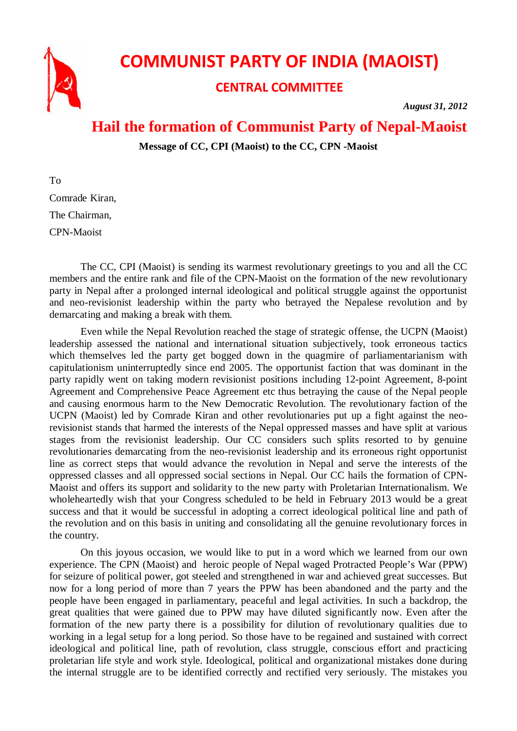

## **COMMUNIST PARTY OF INDIA (MAOIST)**

## **CENTRAL COMMITTEE**

*August 31, 2012*

## **Hail the formation of Communist Party of Nepal-Maoist**

**Message of CC, CPI (Maoist) to the CC, CPN -Maoist**

To Comrade Kiran, The Chairman, CPN-Maoist

The CC, CPI (Maoist) is sending its warmest revolutionary greetings to you and all the CC members and the entire rank and file of the CPN-Maoist on the formation of the new revolutionary party in Nepal after a prolonged internal ideological and political struggle against the opportunist and neo-revisionist leadership within the party who betrayed the Nepalese revolution and by demarcating and making a break with them.

Even while the Nepal Revolution reached the stage of strategic offense, the UCPN (Maoist) leadership assessed the national and international situation subjectively, took erroneous tactics which themselves led the party get bogged down in the quagmire of parliamentarianism with capitulationism uninterruptedly since end 2005. The opportunist faction that was dominant in the party rapidly went on taking modern revisionist positions including 12-point Agreement, 8-point Agreement and Comprehensive Peace Agreement etc thus betraying the cause of the Nepal people and causing enormous harm to the New Democratic Revolution. The revolutionary faction of the UCPN (Maoist) led by Comrade Kiran and other revolutionaries put up a fight against the neorevisionist stands that harmed the interests of the Nepal oppressed masses and have split at various stages from the revisionist leadership. Our CC considers such splits resorted to by genuine revolutionaries demarcating from the neo-revisionist leadership and its erroneous right opportunist line as correct steps that would advance the revolution in Nepal and serve the interests of the oppressed classes and all oppressed social sections in Nepal. Our CC hails the formation of CPN-Maoist and offers its support and solidarity to the new party with Proletarian Internationalism. We wholeheartedly wish that your Congress scheduled to be held in February 2013 would be a great success and that it would be successful in adopting a correct ideological political line and path of the revolution and on this basis in uniting and consolidating all the genuine revolutionary forces in the country.

On this joyous occasion, we would like to put in a word which we learned from our own experience. The CPN (Maoist) and heroic people of Nepal waged Protracted People's War (PPW) for seizure of political power, got steeled and strengthened in war and achieved great successes. But now for a long period of more than 7 years the PPW has been abandoned and the party and the people have been engaged in parliamentary, peaceful and legal activities. In such a backdrop, the great qualities that were gained due to PPW may have diluted significantly now. Even after the formation of the new party there is a possibility for dilution of revolutionary qualities due to working in a legal setup for a long period. So those have to be regained and sustained with correct ideological and political line, path of revolution, class struggle, conscious effort and practicing proletarian life style and work style. Ideological, political and organizational mistakes done during the internal struggle are to be identified correctly and rectified very seriously. The mistakes you